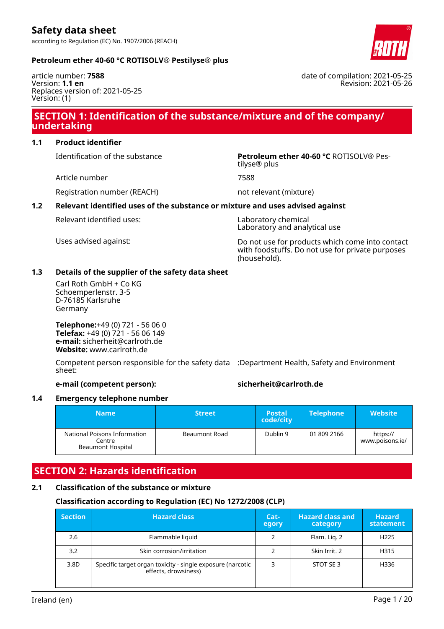

### **Petroleum ether 40-60 °C ROTISOLV® Pestilyse® plus**

article number: **7588** Version: **1.1 en** Replaces version of: 2021-05-25 Version: (1)

### **SECTION 1: Identification of the substance/mixture and of the company/ undertaking**

### **1.1 Product identifier**

Article number 7588

Identification of the substance **Petroleum ether 40-60 °C** ROTISOLV® Pestilyse® plus

Registration number (REACH) not relevant (mixture)

### **1.2 Relevant identified uses of the substance or mixture and uses advised against**

Relevant identified uses: Laboratory chemical

Laboratory and analytical use

Uses advised against: Do not use for products which come into contact with foodstuffs. Do not use for private purposes (household).

### **1.3 Details of the supplier of the safety data sheet**

Carl Roth GmbH + Co KG Schoemperlenstr. 3-5 D-76185 Karlsruhe Germany

**Telephone:**+49 (0) 721 - 56 06 0 **Telefax:** +49 (0) 721 - 56 06 149 **e-mail:** sicherheit@carlroth.de **Website:** www.carlroth.de

Competent person responsible for the safety data :Department Health, Safety and Environment sheet:

### **e-mail (competent person): sicherheit@carlroth.de**

### **1.4 Emergency telephone number**

| <b>Name</b>                                                        | <b>Street</b> | <b>Postal</b><br>code/city | <b>Telephone</b> | <b>Website</b>              |
|--------------------------------------------------------------------|---------------|----------------------------|------------------|-----------------------------|
| National Poisons Information<br>Centre<br><b>Beaumont Hospital</b> | Beaumont Road | Dublin 9                   | 01 809 2166      | https://<br>www.poisons.ie/ |

# **SECTION 2: Hazards identification**

### **2.1 Classification of the substance or mixture**

### **Classification according to Regulation (EC) No 1272/2008 (CLP)**

| <b>Section</b> | <b>Hazard class</b>                                                                | Cat-<br>egory | <b>Hazard class and</b><br>category | <b>Hazard</b><br>statement |
|----------------|------------------------------------------------------------------------------------|---------------|-------------------------------------|----------------------------|
| 2.6            | Flammable liquid                                                                   | 2             | Flam. Lig. 2                        | H <sub>225</sub>           |
| 3.2            | Skin corrosion/irritation                                                          |               | Skin Irrit. 2                       | H315                       |
| 3.8D           | Specific target organ toxicity - single exposure (narcotic<br>effects, drowsiness) |               | STOT SE3                            | H336                       |

date of compilation: 2021-05-25 Revision: 2021-05-26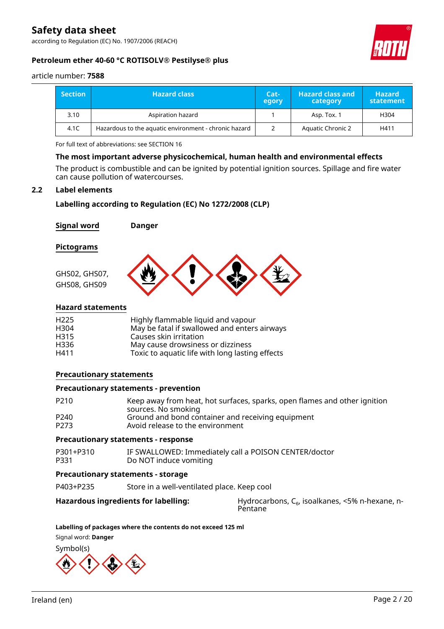according to Regulation (EC) No. 1907/2006 (REACH)



### **Petroleum ether 40-60 °C ROTISOLV® Pestilyse® plus**

article number: **7588**

| <b>Section</b> | Hazard class <b>\</b>                                 | Cat-<br>egory | <b>Hazard class and</b><br>category | <b>Hazard</b><br>statement |
|----------------|-------------------------------------------------------|---------------|-------------------------------------|----------------------------|
| 3.10           | Aspiration hazard                                     |               | Asp. Tox. 1                         | H304                       |
| 4.1C           | Hazardous to the aquatic environment - chronic hazard |               | <b>Aquatic Chronic 2</b>            | H411                       |

For full text of abbreviations: see SECTION 16

### **The most important adverse physicochemical, human health and environmental effects**

The product is combustible and can be ignited by potential ignition sources. Spillage and fire water can cause pollution of watercourses.

### **2.2 Label elements**

### **Labelling according to Regulation (EC) No 1272/2008 (CLP)**

| <b>Signal word</b> | <b>Danger</b> |  |
|--------------------|---------------|--|
| <b>Pictograms</b>  |               |  |
| GHS02, GHS07,      |               |  |
| GHS08, GHS09       |               |  |

### **Hazard statements**

| H <sub>225</sub> | Highly flammable liquid and vapour              |
|------------------|-------------------------------------------------|
| H <sub>304</sub> | May be fatal if swallowed and enters airways    |
| H <sub>315</sub> | Causes skin irritation                          |
| H336             | May cause drowsiness or dizziness               |
| H411             | Toxic to aquatic life with long lasting effects |

### **Precautionary statements**

#### **Precautionary statements - prevention**

| P <sub>210</sub> | Keep away from heat, hot surfaces, sparks, open flames and other ignition |
|------------------|---------------------------------------------------------------------------|
|                  | sources. No smoking                                                       |
| P <sub>240</sub> | Ground and bond container and receiving equipment                         |
| P <sub>273</sub> | Avoid release to the environment                                          |

#### **Precautionary statements - response**

| P301+P310 | IF SWALLOWED: Immediately call a POISON CENTER/doctor |
|-----------|-------------------------------------------------------|
| P331      | Do NOT induce vomiting                                |

### **Precautionary statements - storage**

P403+P235 Store in a well-ventilated place. Keep cool

### **Hazardous ingredients for labelling:** Hydrocarbons, C<sub>6</sub>, isoalkanes, <5% n-hexane, n-

Pentane

#### **Labelling of packages where the contents do not exceed 125 ml**

Signal word: **Danger**

Symbol(s)

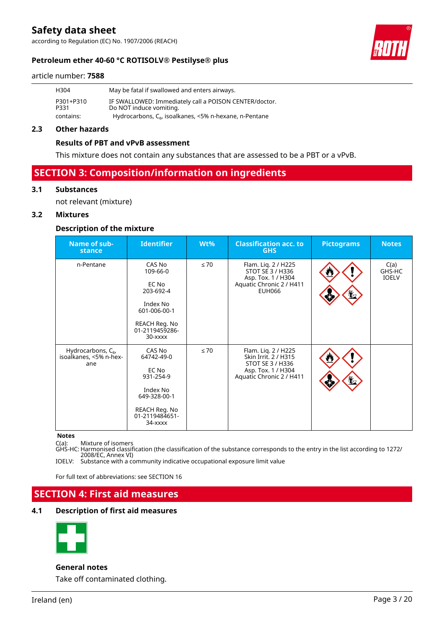according to Regulation (EC) No. 1907/2006 (REACH)



#### article number: **7588**

| H304              | May be fatal if swallowed and enters airways.                                     |
|-------------------|-----------------------------------------------------------------------------------|
| P301+P310<br>P331 | IF SWALLOWED: Immediately call a POISON CENTER/doctor.<br>Do NOT induce vomiting. |
| contains:         | Hydrocarbons, $C_{6}$ , isoalkanes, <5% n-hexane, n-Pentane                       |

### **2.3 Other hazards**

### **Results of PBT and vPvB assessment**

This mixture does not contain any substances that are assessed to be a PBT or a vPvB.

# **SECTION 3: Composition/information on ingredients**

### **3.1 Substances**

not relevant (mixture)

### **3.2 Mixtures**

### **Description of the mixture**

| Name of sub-<br>stance                                          | <b>Identifier</b>                                                                                                      | $Wt\%$    | <b>Classification acc. to</b><br><b>GHS</b>                                                                       | <b>Pictograms</b> | <b>Notes</b>                   |
|-----------------------------------------------------------------|------------------------------------------------------------------------------------------------------------------------|-----------|-------------------------------------------------------------------------------------------------------------------|-------------------|--------------------------------|
| n-Pentane                                                       | CAS No<br>109-66-0<br>EC No<br>203-692-4<br>Index No<br>601-006-00-1<br>REACH Reg. No<br>01-2119459286-<br>$30 -$ xxxx | $\leq 70$ | Flam. Liq. 2 / H225<br>STOT SE 3 / H336<br>Asp. Tox. 1 / H304<br>Aquatic Chronic 2 / H411<br>EUH066               | Ł                 | C(a)<br>GHS-HC<br><b>IOELV</b> |
| Hydrocarbons, C <sub>6</sub> ,<br>isoalkanes, <5% n-hex-<br>ane | CAS No<br>64742-49-0<br>EC No<br>931-254-9<br>Index No<br>649-328-00-1<br>REACH Reg. No<br>01-2119484651-<br>34-xxxx   | $\leq 70$ | Flam. Liq. 2 / H225<br>Skin Irrit. 2 / H315<br>STOT SE 3 / H336<br>Asp. Tox. 1 / H304<br>Aquatic Chronic 2 / H411 |                   |                                |

#### **Notes**

C(a): Mixture of isomers

GHS-HC: Harmonised classification (the classification of the substance corresponds to the entry in the list according to 1272/ 2008/EC, Annex VI)

IOELV: Substance with a community indicative occupational exposure limit value

For full text of abbreviations: see SECTION 16

# **SECTION 4: First aid measures**

### **4.1 Description of first aid measures**



### **General notes**

Take off contaminated clothing.

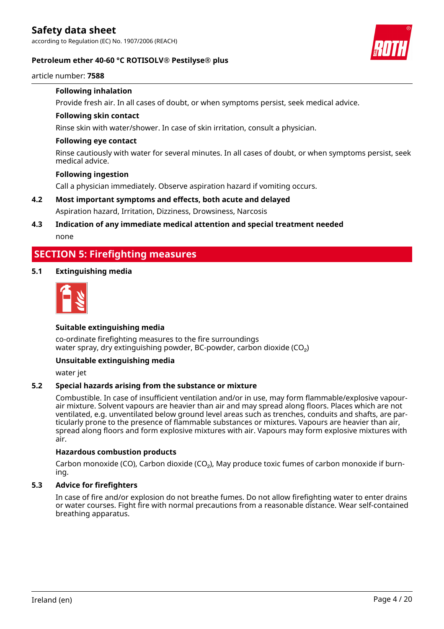

### **Petroleum ether 40-60 °C ROTISOLV® Pestilyse® plus**

article number: **7588**

### **Following inhalation**

Provide fresh air. In all cases of doubt, or when symptoms persist, seek medical advice.

### **Following skin contact**

Rinse skin with water/shower. In case of skin irritation, consult a physician.

### **Following eye contact**

Rinse cautiously with water for several minutes. In all cases of doubt, or when symptoms persist, seek medical advice.

### **Following ingestion**

Call a physician immediately. Observe aspiration hazard if vomiting occurs.

### **4.2 Most important symptoms and effects, both acute and delayed** Aspiration hazard, Irritation, Dizziness, Drowsiness, Narcosis

### **4.3 Indication of any immediate medical attention and special treatment needed** none

# **SECTION 5: Firefighting measures**

### **5.1 Extinguishing media**



### **Suitable extinguishing media**

co-ordinate firefighting measures to the fire surroundings water spray, dry extinguishing powder, BC-powder, carbon dioxide (CO<sub>2</sub>)

### **Unsuitable extinguishing media**

water jet

### **5.2 Special hazards arising from the substance or mixture**

Combustible. In case of insufficient ventilation and/or in use, may form flammable/explosive vapourair mixture. Solvent vapours are heavier than air and may spread along floors. Places which are not ventilated, e.g. unventilated below ground level areas such as trenches, conduits and shafts, are particularly prone to the presence of flammable substances or mixtures. Vapours are heavier than air, spread along floors and form explosive mixtures with air. Vapours may form explosive mixtures with air.

### **Hazardous combustion products**

Carbon monoxide (CO), Carbon dioxide (CO₂), May produce toxic fumes of carbon monoxide if burning.

### **5.3 Advice for firefighters**

In case of fire and/or explosion do not breathe fumes. Do not allow firefighting water to enter drains or water courses. Fight fire with normal precautions from a reasonable distance. Wear self-contained breathing apparatus.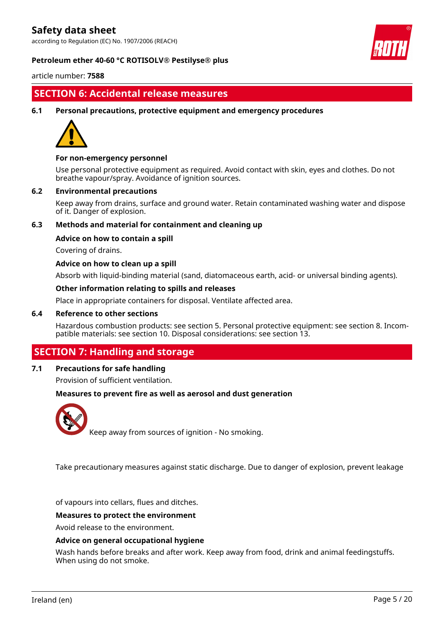according to Regulation (EC) No. 1907/2006 (REACH)



### **Petroleum ether 40-60 °C ROTISOLV® Pestilyse® plus**

article number: **7588**

# **SECTION 6: Accidental release measures**

**6.1 Personal precautions, protective equipment and emergency procedures**



### **For non-emergency personnel**

Use personal protective equipment as required. Avoid contact with skin, eyes and clothes. Do not breathe vapour/spray. Avoidance of ignition sources.

### **6.2 Environmental precautions**

Keep away from drains, surface and ground water. Retain contaminated washing water and dispose of it. Danger of explosion.

### **6.3 Methods and material for containment and cleaning up**

### **Advice on how to contain a spill**

Covering of drains.

### **Advice on how to clean up a spill**

Absorb with liquid-binding material (sand, diatomaceous earth, acid- or universal binding agents).

### **Other information relating to spills and releases**

Place in appropriate containers for disposal. Ventilate affected area.

### **6.4 Reference to other sections**

Hazardous combustion products: see section 5. Personal protective equipment: see section 8. Incompatible materials: see section 10. Disposal considerations: see section 13.

# **SECTION 7: Handling and storage**

### **7.1 Precautions for safe handling**

Provision of sufficient ventilation.

### **Measures to prevent fire as well as aerosol and dust generation**



Keep away from sources of ignition - No smoking.

Take precautionary measures against static discharge. Due to danger of explosion, prevent leakage

of vapours into cellars, flues and ditches.

#### **Measures to protect the environment**

Avoid release to the environment.

#### **Advice on general occupational hygiene**

Wash hands before breaks and after work. Keep away from food, drink and animal feedingstuffs. When using do not smoke.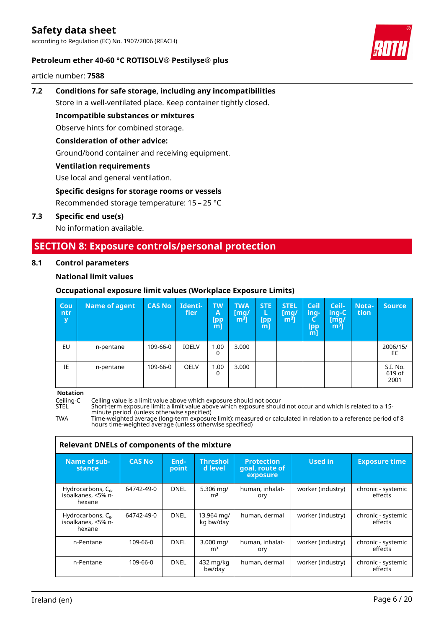according to Regulation (EC) No. 1907/2006 (REACH)



### **Petroleum ether 40-60 °C ROTISOLV® Pestilyse® plus**

article number: **7588**

# **7.2 Conditions for safe storage, including any incompatibilities** Store in a well-ventilated place. Keep container tightly closed.

**Incompatible substances or mixtures** Observe hints for combined storage.

### **Consideration of other advice:**

Ground/bond container and receiving equipment.

### **Ventilation requirements**

Use local and general ventilation.

### **Specific designs for storage rooms or vessels**

Recommended storage temperature: 15 – 25 °C

### **7.3 Specific end use(s)**

No information available.

# **SECTION 8: Exposure controls/personal protection**

### **8.1 Control parameters**

### **National limit values**

### **Occupational exposure limit values (Workplace Exposure Limits)**

| Cou<br>ntr<br>y | Name of agent | <b>CAS No</b> | Identi-<br>fier | <b>TW</b><br>A<br>[pp<br>$m$ ] | <b>TWA</b><br>[mq/<br>m <sup>3</sup> | <b>STE</b><br>L<br>[pp<br>$m$ ] | <b>STEL</b><br>[mq/<br>m <sup>3</sup> | <b>Ceil</b><br>ing-<br>Ч<br><b>Ipp</b><br>$m$ ] | Ceil-<br>ing-C<br>[mq/<br>m <sup>3</sup> | Nota-<br>tion | <b>Source</b>              |
|-----------------|---------------|---------------|-----------------|--------------------------------|--------------------------------------|---------------------------------|---------------------------------------|-------------------------------------------------|------------------------------------------|---------------|----------------------------|
| EU              | n-pentane     | 109-66-0      | <b>IOELV</b>    | 1.00<br>0                      | 3.000                                |                                 |                                       |                                                 |                                          |               | 2006/15/<br>EC             |
| IE              | n-pentane     | 109-66-0      | <b>OELV</b>     | 1.00<br>0                      | 3.000                                |                                 |                                       |                                                 |                                          |               | S.I. No.<br>619 of<br>2001 |

**Notation**

Ceiling-C Ceiling value is a limit value above which exposure should not occur

STEL Short-term exposure limit: a limit value above which exposure should not occur and which is related to a 15 minute period (unless otherwise specified)

TWA Time-weighted average (long-term exposure limit): measured or calculated in relation to a reference period of 8 hours time-weighted average (unless otherwise specified)

| Relevant DNELs of components of the mixture             |               |               |                                          |                                                 |                   |                               |  |  |  |  |
|---------------------------------------------------------|---------------|---------------|------------------------------------------|-------------------------------------------------|-------------------|-------------------------------|--|--|--|--|
| Name of sub-<br>stance                                  | <b>CAS No</b> | End-<br>point | <b>Threshol</b><br>d level               | <b>Protection</b><br>goal, route of<br>exposure | <b>Used in</b>    | <b>Exposure time</b>          |  |  |  |  |
| Hydrocarbons, $C_{6}$ ,<br>isoalkanes, <5% n-<br>hexane | 64742-49-0    | <b>DNEL</b>   | 5.306 mg/<br>m <sup>3</sup>              | human, inhalat-<br>ory                          | worker (industry) | chronic - systemic<br>effects |  |  |  |  |
| Hydrocarbons, $C_{6}$ ,<br>isoalkanes, <5% n-<br>hexane | 64742-49-0    | <b>DNEL</b>   | 13.964 mg/<br>kg bw/day                  | human, dermal                                   | worker (industry) | chronic - systemic<br>effects |  |  |  |  |
| n-Pentane                                               | 109-66-0      | <b>DNEL</b>   | $3.000 \,\mathrm{mag}$<br>m <sup>3</sup> | human, inhalat-<br>ory                          | worker (industry) | chronic - systemic<br>effects |  |  |  |  |
| n-Pentane                                               | 109-66-0      | <b>DNEL</b>   | 432 mg/kg<br>bw/day                      | human, dermal                                   | worker (industry) | chronic - systemic<br>effects |  |  |  |  |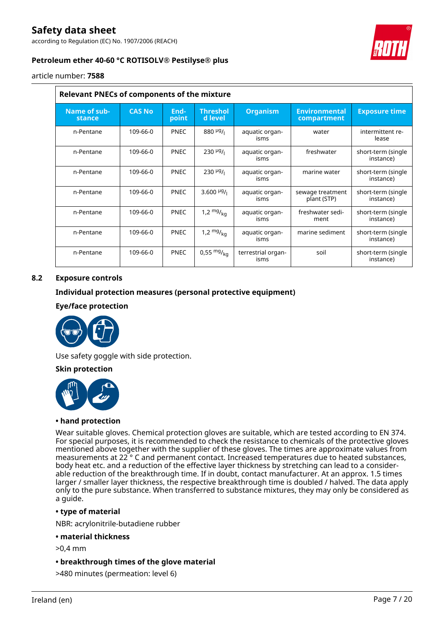according to Regulation (EC) No. 1907/2006 (REACH)



### **Petroleum ether 40-60 °C ROTISOLV® Pestilyse® plus**

article number: **7588**

| <b>Relevant PNECs of components of the mixture</b> |               |               |                            |                            |                                     |                                 |  |  |  |  |
|----------------------------------------------------|---------------|---------------|----------------------------|----------------------------|-------------------------------------|---------------------------------|--|--|--|--|
| Name of sub-<br>stance                             | <b>CAS No</b> | End-<br>point | <b>Threshol</b><br>d level | <b>Organism</b>            | <b>Environmental</b><br>compartment | <b>Exposure time</b>            |  |  |  |  |
| n-Pentane                                          | 109-66-0      | <b>PNEC</b>   | $880\frac{\mu g}{\mu}$     | aquatic organ-<br>isms     | water                               | intermittent re-<br>lease       |  |  |  |  |
| n-Pentane                                          | 109-66-0      | <b>PNEC</b>   | $230 \frac{\mu g}{\mu}$    | aquatic organ-<br>isms     | freshwater                          | short-term (single<br>instance) |  |  |  |  |
| n-Pentane                                          | 109-66-0      | <b>PNEC</b>   | $230 \frac{\mu g}{\mu}$    | aquatic organ-<br>isms     | marine water                        | short-term (single<br>instance) |  |  |  |  |
| n-Pentane                                          | 109-66-0      | <b>PNEC</b>   | 3.600 $\frac{\mu g}{\mu}$  | aquatic organ-<br>isms     | sewage treatment<br>plant (STP)     | short-term (single<br>instance) |  |  |  |  |
| n-Pentane                                          | 109-66-0      | <b>PNEC</b>   | 1,2 $mg/_{ka}$             | aquatic organ-<br>isms     | freshwater sedi-<br>ment            | short-term (single<br>instance) |  |  |  |  |
| n-Pentane                                          | 109-66-0      | <b>PNEC</b>   | 1,2 $mg/_{ka}$             | aquatic organ-<br>isms     | marine sediment                     | short-term (single<br>instance) |  |  |  |  |
| n-Pentane                                          | 109-66-0      | <b>PNEC</b>   | $0,55 \frac{mg}{ka}$       | terrestrial organ-<br>isms | soil                                | short-term (single<br>instance) |  |  |  |  |

### **8.2 Exposure controls**

### **Individual protection measures (personal protective equipment)**

### **Eye/face protection**



Use safety goggle with side protection.

### **Skin protection**



#### **• hand protection**

Wear suitable gloves. Chemical protection gloves are suitable, which are tested according to EN 374. For special purposes, it is recommended to check the resistance to chemicals of the protective gloves mentioned above together with the supplier of these gloves. The times are approximate values from measurements at 22 ° C and permanent contact. Increased temperatures due to heated substances, body heat etc. and a reduction of the effective layer thickness by stretching can lead to a considerable reduction of the breakthrough time. If in doubt, contact manufacturer. At an approx. 1.5 times larger / smaller layer thickness, the respective breakthrough time is doubled / halved. The data apply only to the pure substance. When transferred to substance mixtures, they may only be considered as a guide.

### **• type of material**

NBR: acrylonitrile-butadiene rubber

### **• material thickness**

- >0,4 mm
- **breakthrough times of the glove material**
- >480 minutes (permeation: level 6)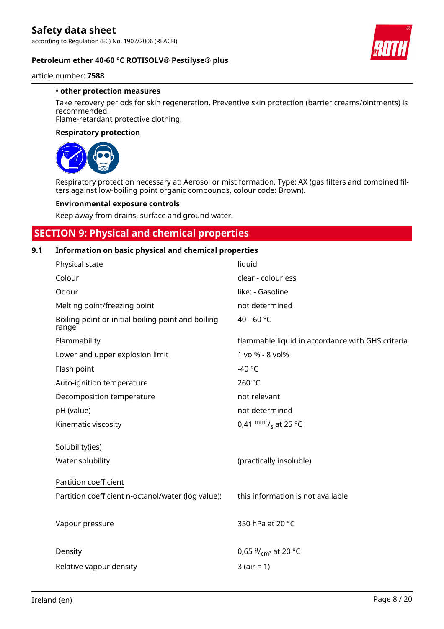

### **Petroleum ether 40-60 °C ROTISOLV® Pestilyse® plus**

article number: **7588**

### **• other protection measures**

Take recovery periods for skin regeneration. Preventive skin protection (barrier creams/ointments) is recommended.

Flame-retardant protective clothing.

### **Respiratory protection**



Respiratory protection necessary at: Aerosol or mist formation. Type: AX (gas filters and combined filters against low-boiling point organic compounds, colour code: Brown).

### **Environmental exposure controls**

Keep away from drains, surface and ground water.

# **SECTION 9: Physical and chemical properties**

### **9.1 Information on basic physical and chemical properties**

| Physical state                                              | liquid                                           |
|-------------------------------------------------------------|--------------------------------------------------|
| Colour                                                      | clear - colourless                               |
| Odour                                                       | like: - Gasoline                                 |
| Melting point/freezing point                                | not determined                                   |
| Boiling point or initial boiling point and boiling<br>range | 40 - 60 °C                                       |
| Flammability                                                | flammable liquid in accordance with GHS criteria |
| Lower and upper explosion limit                             | 1 vol% - 8 vol%                                  |
| Flash point                                                 | -40 $^{\circ}$ C                                 |
| Auto-ignition temperature                                   | 260 °C                                           |
| Decomposition temperature                                   | not relevant                                     |
| pH (value)                                                  | not determined                                   |
| Kinematic viscosity                                         | 0,41 $\text{mm}^2$ / <sub>s</sub> at 25 °C       |
| Solubility(ies)                                             |                                                  |
| Water solubility                                            | (practically insoluble)                          |
| Partition coefficient                                       |                                                  |
| Partition coefficient n-octanol/water (log value):          | this information is not available                |
| Vapour pressure                                             | 350 hPa at 20 °C                                 |
| Density                                                     | 0,65 $9/_{cm^3}$ at 20 °C                        |
| Relative vapour density                                     | $3 (air = 1)$                                    |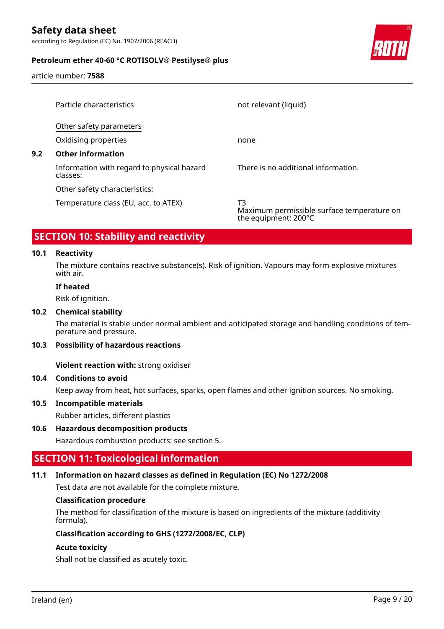according to Regulation (EC) No. 1907/2006 (REACH)



### **Petroleum ether 40-60 °C ROTISOLV® Pestilyse® plus**

article number: **7588**

|     | Particle characteristics                               | not relevant (liquid)                                                    |
|-----|--------------------------------------------------------|--------------------------------------------------------------------------|
|     | Other safety parameters                                |                                                                          |
|     | Oxidising properties                                   | none                                                                     |
| 9.2 | <b>Other information</b>                               |                                                                          |
|     | Information with regard to physical hazard<br>classes: | There is no additional information.                                      |
|     | Other safety characteristics:                          |                                                                          |
|     | Temperature class (EU, acc. to ATEX)                   | T3<br>Maximum permissible surface temperature on<br>the equipment: 200°C |

# **SECTION 10: Stability and reactivity**

### **10.1 Reactivity**

The mixture contains reactive substance(s). Risk of ignition. Vapours may form explosive mixtures with air.

### **If heated**

Risk of ignition.

### **10.2 Chemical stability**

The material is stable under normal ambient and anticipated storage and handling conditions of temperature and pressure.

### **10.3 Possibility of hazardous reactions**

**Violent reaction with:** strong oxidiser

### **10.4 Conditions to avoid**

Keep away from heat, hot surfaces, sparks, open flames and other ignition sources. No smoking.

#### **10.5 Incompatible materials**

Rubber articles, different plastics

### **10.6 Hazardous decomposition products**

Hazardous combustion products: see section 5.

# **SECTION 11: Toxicological information**

### **11.1 Information on hazard classes as defined in Regulation (EC) No 1272/2008**

Test data are not available for the complete mixture.

### **Classification procedure**

The method for classification of the mixture is based on ingredients of the mixture (additivity formula).

### **Classification according to GHS (1272/2008/EC, CLP)**

### **Acute toxicity**

Shall not be classified as acutely toxic.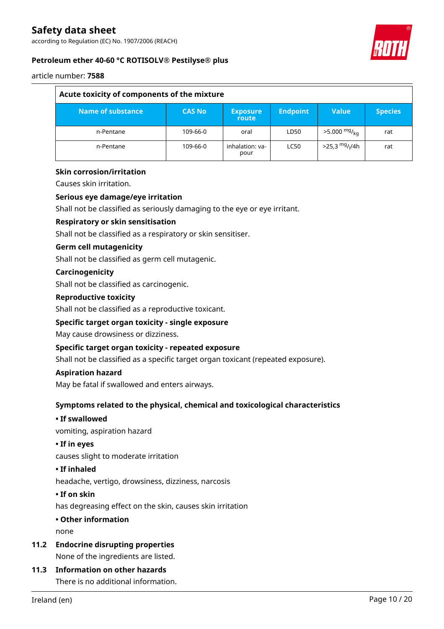according to Regulation (EC) No. 1907/2006 (REACH)



### **Petroleum ether 40-60 °C ROTISOLV® Pestilyse® plus**

article number: **7588**

| Acute toxicity of components of the mixture |               |                          |                 |                                           |                |
|---------------------------------------------|---------------|--------------------------|-----------------|-------------------------------------------|----------------|
| Name of substance                           | <b>CAS No</b> | <b>Exposure</b><br>route | <b>Endpoint</b> | <b>Value</b>                              | <b>Species</b> |
| n-Pentane                                   | 109-66-0      | oral                     | LD50            | $>5.000 \frac{mg}{ka}$                    | rat            |
| n-Pentane                                   | 109-66-0      | inhalation: ya-<br>pour  | <b>LC50</b>     | $>$ 25,3 <sup>mg</sup> / <sub>l</sub> /4h | rat            |

### **Skin corrosion/irritation**

Causes skin irritation.

### **Serious eye damage/eye irritation**

Shall not be classified as seriously damaging to the eye or eye irritant.

### **Respiratory or skin sensitisation**

Shall not be classified as a respiratory or skin sensitiser.

### **Germ cell mutagenicity**

Shall not be classified as germ cell mutagenic.

### **Carcinogenicity**

Shall not be classified as carcinogenic.

### **Reproductive toxicity**

Shall not be classified as a reproductive toxicant.

### **Specific target organ toxicity - single exposure**

May cause drowsiness or dizziness.

### **Specific target organ toxicity - repeated exposure**

Shall not be classified as a specific target organ toxicant (repeated exposure).

### **Aspiration hazard**

May be fatal if swallowed and enters airways.

### **Symptoms related to the physical, chemical and toxicological characteristics**

### **• If swallowed**

vomiting, aspiration hazard

### **• If in eyes**

causes slight to moderate irritation

### **• If inhaled**

headache, vertigo, drowsiness, dizziness, narcosis

### **• If on skin**

has degreasing effect on the skin, causes skin irritation

### **• Other information**

none

**11.2 Endocrine disrupting properties**

None of the ingredients are listed.

### **11.3 Information on other hazards**

There is no additional information.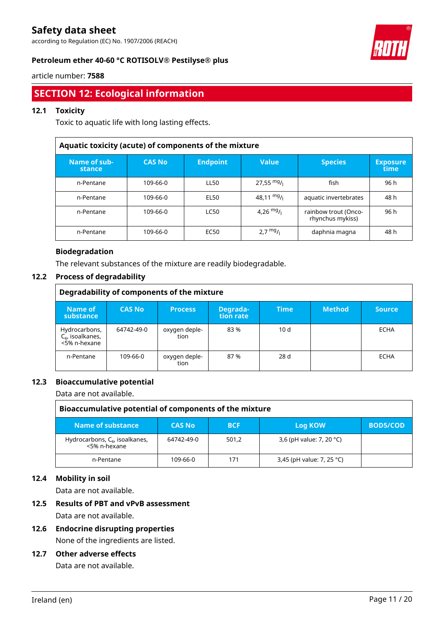according to Regulation (EC) No. 1907/2006 (REACH)



### **Petroleum ether 40-60 °C ROTISOLV® Pestilyse® plus**

article number: **7588**

# **SECTION 12: Ecological information**

### **12.1 Toxicity**

Toxic to aquatic life with long lasting effects.

| Aquatic toxicity (acute) of components of the mixture |               |                 |                      |                                          |                         |  |  |
|-------------------------------------------------------|---------------|-----------------|----------------------|------------------------------------------|-------------------------|--|--|
| Name of sub-<br>stance                                | <b>CAS No</b> | <b>Endpoint</b> | <b>Value</b>         | <b>Species</b>                           | <b>Exposure</b><br>time |  |  |
| n-Pentane                                             | 109-66-0      | LL50            | $27,55 \text{ mg}$ / | fish                                     | 96 h                    |  |  |
| n-Pentane                                             | 109-66-0      | EL50            | 48,11 mg/            | aquatic invertebrates                    | 48 h                    |  |  |
| n-Pentane                                             | 109-66-0      | LC50            | 4,26 $mg/1$          | rainbow trout (Onco-<br>rhynchus mykiss) | 96 h                    |  |  |
| n-Pentane                                             | 109-66-0      | EC50            | $2.7 \frac{mg}{l}$   | daphnia magna                            | 48 h                    |  |  |

### **Biodegradation**

The relevant substances of the mixture are readily biodegradable.

### **12.2 Process of degradability**

| Degradability of components of the mixture             |               |                       |                       |             |               |               |
|--------------------------------------------------------|---------------|-----------------------|-----------------------|-------------|---------------|---------------|
| Name of<br>substance                                   | <b>CAS No</b> | <b>Process</b>        | Degrada-<br>tion rate | <b>Time</b> | <b>Method</b> | <b>Source</b> |
| Hydrocarbons,<br>$C_{6}$ , isoalkanes,<br><5% n-hexane | 64742-49-0    | oxygen deple-<br>tion | 83%                   | 10d         |               | ECHA          |
| n-Pentane                                              | 109-66-0      | oxygen deple-<br>tion | 87%                   | 28 d        |               | ECHA          |

### **12.3 Bioaccumulative potential**

Data are not available.

| Bioaccumulative potential of components of the mixture |               |            |                           |                 |  |
|--------------------------------------------------------|---------------|------------|---------------------------|-----------------|--|
| Name of substance                                      | <b>CAS No</b> | <b>BCF</b> | Log KOW                   | <b>BOD5/COD</b> |  |
| Hydrocarbons, $C_6$ , isoalkanes,<br><5% n-hexane      | 64742-49-0    | 501,2      | 3,6 (pH value: 7, 20 °C)  |                 |  |
| n-Pentane                                              | 109-66-0      | 171        | 3,45 (pH value: 7, 25 °C) |                 |  |

### **12.4 Mobility in soil**

Data are not available.

# **12.5 Results of PBT and vPvB assessment**

Data are not available.

# **12.6 Endocrine disrupting properties**

None of the ingredients are listed.

### **12.7 Other adverse effects**

Data are not available.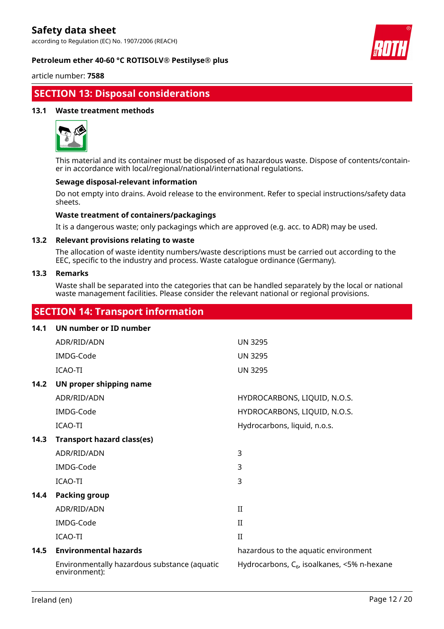according to Regulation (EC) No. 1907/2006 (REACH)



### **Petroleum ether 40-60 °C ROTISOLV® Pestilyse® plus**

article number: **7588**

# **SECTION 13: Disposal considerations**

### **13.1 Waste treatment methods**



This material and its container must be disposed of as hazardous waste. Dispose of contents/container in accordance with local/regional/national/international regulations.

### **Sewage disposal-relevant information**

Do not empty into drains. Avoid release to the environment. Refer to special instructions/safety data sheets.

### **Waste treatment of containers/packagings**

It is a dangerous waste; only packagings which are approved (e.g. acc. to ADR) may be used.

### **13.2 Relevant provisions relating to waste**

The allocation of waste identity numbers/waste descriptions must be carried out according to the EEC, specific to the industry and process. Waste catalogue ordinance (Germany).

### **13.3 Remarks**

Waste shall be separated into the categories that can be handled separately by the local or national waste management facilities. Please consider the relevant national or regional provisions.

# **SECTION 14: Transport information**

| 14.1 | UN number or ID number                                        |                                                  |
|------|---------------------------------------------------------------|--------------------------------------------------|
|      | ADR/RID/ADN                                                   | <b>UN 3295</b>                                   |
|      | IMDG-Code                                                     | <b>UN 3295</b>                                   |
|      | ICAO-TI                                                       | <b>UN 3295</b>                                   |
| 14.2 | UN proper shipping name                                       |                                                  |
|      | ADR/RID/ADN                                                   | HYDROCARBONS, LIQUID, N.O.S.                     |
|      | IMDG-Code                                                     | HYDROCARBONS, LIQUID, N.O.S.                     |
|      | ICAO-TI                                                       | Hydrocarbons, liquid, n.o.s.                     |
| 14.3 | <b>Transport hazard class(es)</b>                             |                                                  |
|      | ADR/RID/ADN                                                   | 3                                                |
|      | IMDG-Code                                                     | 3                                                |
|      | ICAO-TI                                                       | 3                                                |
| 14.4 | <b>Packing group</b>                                          |                                                  |
|      | ADR/RID/ADN                                                   | $\rm II$                                         |
|      | IMDG-Code                                                     | $\mathbf{I}$                                     |
|      | ICAO-TI                                                       | $\rm II$                                         |
| 14.5 | <b>Environmental hazards</b>                                  | hazardous to the aquatic environment             |
|      | Environmentally hazardous substance (aquatic<br>environment): | Hydrocarbons, $C_{6}$ , isoalkanes, <5% n-hexane |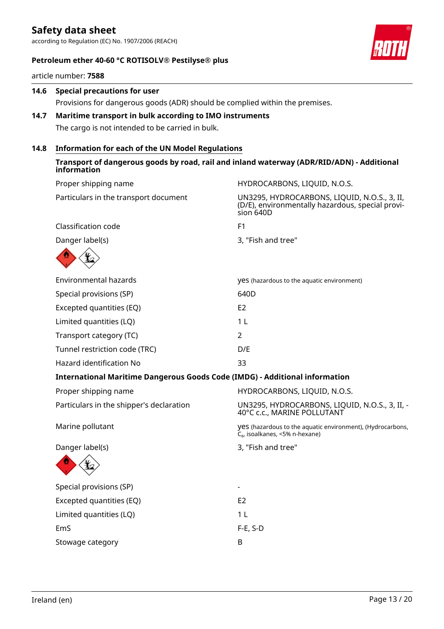according to Regulation (EC) No. 1907/2006 (REACH)



### **Petroleum ether 40-60 °C ROTISOLV® Pestilyse® plus**

article number: **7588**

# **14.6 Special precautions for user** Provisions for dangerous goods (ADR) should be complied within the premises.

### **14.7 Maritime transport in bulk according to IMO instruments** The cargo is not intended to be carried in bulk.

### **14.8 Information for each of the UN Model Regulations**

### **Transport of dangerous goods by road, rail and inland waterway (ADR/RID/ADN) - Additional information**

| HYDROCARBONS, LIQUID, N.O.S.                                                                                  |
|---------------------------------------------------------------------------------------------------------------|
| UN3295, HYDROCARBONS, LIQUID, N.O.S., 3, II,<br>(D/E), environmentally hazardous, special provi-<br>sion 640D |
| F1                                                                                                            |
| 3, "Fish and tree"                                                                                            |
|                                                                                                               |
| yes (hazardous to the aquatic environment)                                                                    |
| 640D                                                                                                          |
| E <sub>2</sub>                                                                                                |
| 1 <sub>L</sub>                                                                                                |
| $\overline{2}$                                                                                                |
| D/E                                                                                                           |
| 33                                                                                                            |
| <b>International Maritime Dangerous Goods Code (IMDG) - Additional information</b>                            |
| HYDROCARBONS, LIQUID, N.O.S.                                                                                  |
| UN3295, HYDROCARBONS, LIQUID, N.O.S., 3, II, -<br>40°C c.c., MARINE POLLUTANT                                 |
| yes (hazardous to the aquatic environment), (Hydrocarbons,<br>$C_{6}$ , isoalkanes, <5% n-hexane)             |
| 3, "Fish and tree"                                                                                            |
|                                                                                                               |
|                                                                                                               |
| E <sub>2</sub>                                                                                                |
| 1 <sub>L</sub>                                                                                                |
| $F-E$ , S-D                                                                                                   |
| B                                                                                                             |
|                                                                                                               |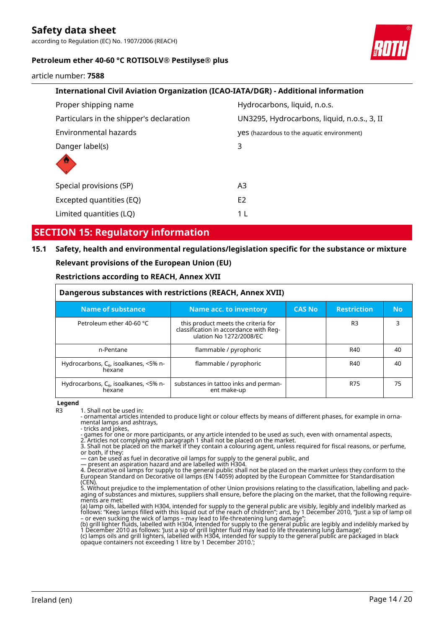according to Regulation (EC) No. 1907/2006 (REACH)



### **Petroleum ether 40-60 °C ROTISOLV® Pestilyse® plus**

article number: **7588**

| International Civil Aviation Organization (ICAO-IATA/DGR) - Additional information |                                             |  |  |  |
|------------------------------------------------------------------------------------|---------------------------------------------|--|--|--|
| Proper shipping name                                                               | Hydrocarbons, liquid, n.o.s.                |  |  |  |
| Particulars in the shipper's declaration                                           | UN3295, Hydrocarbons, liquid, n.o.s., 3, II |  |  |  |
| Environmental hazards                                                              | yes (hazardous to the aquatic environment)  |  |  |  |
| Danger label(s)                                                                    | 3                                           |  |  |  |
|                                                                                    |                                             |  |  |  |
| Special provisions (SP)                                                            | A <sub>3</sub>                              |  |  |  |
| Excepted quantities (EQ)                                                           | E <sub>2</sub>                              |  |  |  |
| Limited quantities (LQ)                                                            | 1 L                                         |  |  |  |
|                                                                                    |                                             |  |  |  |

# **SECTION 15: Regulatory information**

# **15.1 Safety, health and environmental regulations/legislation specific for the substance or mixture Relevant provisions of the European Union (EU)**

### **Restrictions according to REACH, Annex XVII**

| Dangerous substances with restrictions (REACH, Annex XVII) |                                                                                                          |               |                    |     |  |
|------------------------------------------------------------|----------------------------------------------------------------------------------------------------------|---------------|--------------------|-----|--|
| Name of substance                                          | Name acc. to inventory                                                                                   | <b>CAS No</b> | <b>Restriction</b> | No. |  |
| Petroleum ether 40-60 °C                                   | this product meets the criteria for<br>classification in accordance with Reg-<br>ulation No 1272/2008/EC |               | R <sub>3</sub>     | 3   |  |
| n-Pentane                                                  | flammable / pyrophoric                                                                                   |               | R40                | 40  |  |
| Hydrocarbons, $C_{6}$ , isoalkanes, <5% n-<br>hexane       | flammable / pyrophoric                                                                                   |               | R40                | 40  |  |
| Hydrocarbons, $C_{6}$ , isoalkanes, <5% n-<br>hexane       | substances in tattoo inks and perman-<br>ent make-up                                                     |               | R75                | 75  |  |

**Legend**

R3 1. Shall not be used in:

- ornamental articles intended to produce light or colour effects by means of different phases, for example in ornamental lamps and ashtrays,

- tricks and jokes,

- games for one or more participants, or any article intended to be used as such, even with ornamental aspects, 2. Articles not complying with paragraph 1 shall not be placed on the market.

3. Shall not be placed on the market if they contain a colouring agent, unless required for fiscal reasons, or perfume, or both, if they:

— can be used as fuel in decorative oil lamps for supply to the general public, and

— present an aspiration hazard and are labelled with H304.

4. Decorative oil lamps for supply to the general public shall not be placed on the market unless they conform to the European Standard on Decorative oil lamps (EN 14059) adopted by the European Committee for Standardisation (CEN).

5. Without prejudice to the implementation of other Union provisions relating to the classification, labelling and packaging of substances and mixtures, suppliers shall ensure, before the placing on the market, that the following requirements are met:

(a) lamp oils, labelled with H304, intended for supply to the general public are visibly, legibly and indelibly marked as follows: "Keep lamps filled with this liquid out of the reach of children"; and, by 1 December 2010, "Just a sip of lamp oil – or even sucking the wick of lamps – may lead to life-threatening lung damage";

(b) grill lighter fluids, labelled with H304, intended for supply to the general public are legibly and indelibly marked by<br>1 December 2010 as follows: 'Just a sip of grill lighter fluid may lead to life threatening lung d

opaque containers not exceeding 1 litre by 1 December 2010.';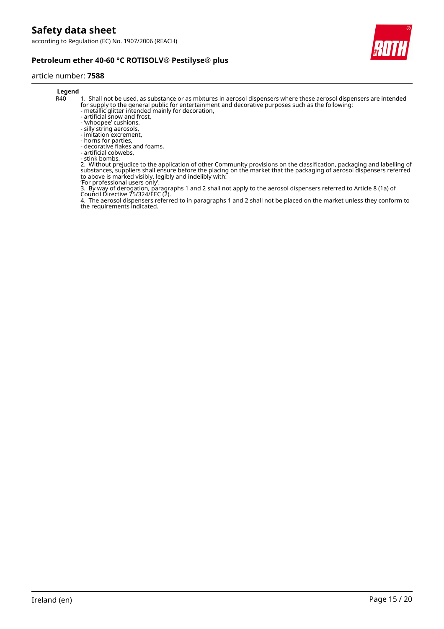

### **Petroleum ether 40-60 °C ROTISOLV® Pestilyse® plus**

#### article number: **7588**

# **Legend**<br>R40

- 1. Shall not be used, as substance or as mixtures in aerosol dispensers where these aerosol dispensers are intended for supply to the general public for entertainment and decorative purposes such as the following:
- metallic glitter intended mainly for decoration,
- artificial snow and frost,
- 'whoopee' cushions, - silly string aerosols,
- imitation excrement,
- horns for parties,
- decorative flakes and foams,
- artificial cobwebs,
- stink bombs.

2. Without prejudice to the application of other Community provisions on the classification, packaging and labelling of substances, suppliers shall ensure before the placing on the market that the packaging of aerosol dispensers referred to above is marked visibly, legibly and indelibly with:

'For professional users only'.

3. By way of derogation, paragraphs 1 and 2 shall not apply to the aerosol dispensers referred to Article 8 (1a) of Council Directive 75/324/EEC (2).

4. The aerosol dispensers referred to in paragraphs 1 and 2 shall not be placed on the market unless they conform to the requirements indicated.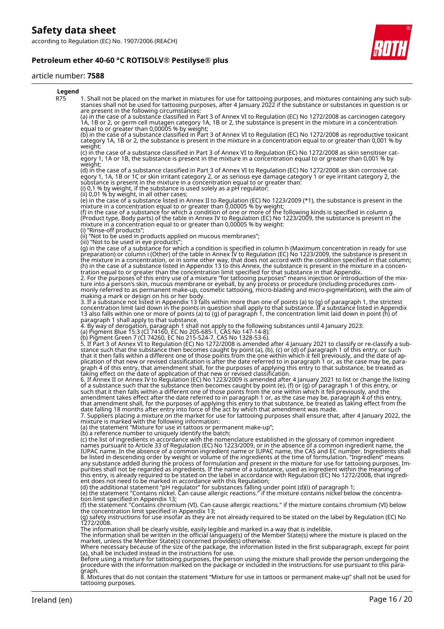**Petroleum ether 40-60 °C ROTISOLV® Pestilyse® plus**



#### article number: **7588**



8. Mixtures that do not contain the statement "Mixture for use in tattoos or permanent make-up" shall not be used for tattooing purposes.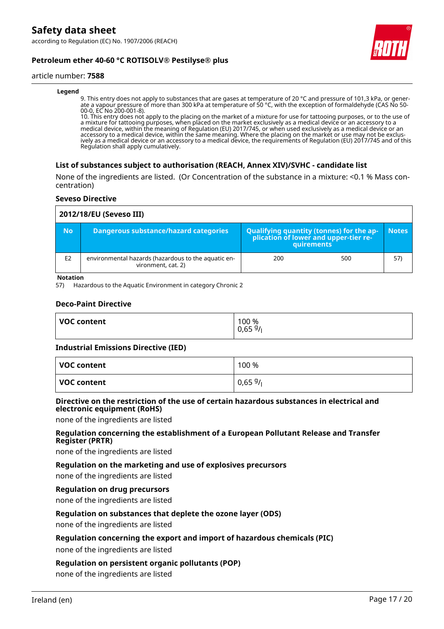

### **Petroleum ether 40-60 °C ROTISOLV® Pestilyse® plus**

#### article number: **7588**

#### **Legend**

9. This entry does not apply to substances that are gases at temperature of 20 °C and pressure of 101,3 kPa, or generate a vapour pressure of more than 300 kPa at temperature of 50 °C, with the exception of formaldehyde (CAS No 50- 00-0, EC No 200-001-8).

10. This entry does not apply to the placing on the market of a mixture for use for tattooing purposes, or to the use of a mixture for tattooing purposes, when placed on the market exclusively as a medical device or an accessory to a medical device, within the meaning of Regulation (EU) 2017/745, or when used exclusively as a medical device or an accessory to a medical device, within the same meaning. Where the placing on the market or use may not be exclusively as a medical device or an accessory to a medical device, the requirements of Regulation (EU) 2017/745 and of this Regulation shall apply cumulatively.

### **List of substances subject to authorisation (REACH, Annex XIV)/SVHC - candidate list**

None of the ingredients are listed. (Or Concentration of the substance in a mixture: <0.1 % Mass concentration)

### **Seveso Directive**

|                | 2012/18/EU (Seveso III)                                                   |                                                                                                   |              |  |  |
|----------------|---------------------------------------------------------------------------|---------------------------------------------------------------------------------------------------|--------------|--|--|
| <b>No</b>      | <b>Dangerous substance/hazard categories</b>                              | Qualifying quantity (tonnes) for the application of lower and upper-tier re-<br><b>quirements</b> | <b>Notes</b> |  |  |
| E <sub>2</sub> | environmental hazards (hazardous to the aquatic en-<br>vironment, cat. 2) | 200<br>500                                                                                        | 57)          |  |  |

#### **Notation**

57) Hazardous to the Aquatic Environment in category Chronic 2

### **Deco-Paint Directive**

| <b>VOC content</b> | 100 %<br>0,659/ |
|--------------------|-----------------|
|                    |                 |

#### **Industrial Emissions Directive (IED)**

| VOC content | 100 %  |
|-------------|--------|
| VOC content | 0,659/ |

### **Directive on the restriction of the use of certain hazardous substances in electrical and electronic equipment (RoHS)**

none of the ingredients are listed

### **Regulation concerning the establishment of a European Pollutant Release and Transfer Register (PRTR)**

none of the ingredients are listed

### **Regulation on the marketing and use of explosives precursors**

none of the ingredients are listed

#### **Regulation on drug precursors**

none of the ingredients are listed

### **Regulation on substances that deplete the ozone layer (ODS)**

none of the ingredients are listed

### **Regulation concerning the export and import of hazardous chemicals (PIC)**

none of the ingredients are listed

### **Regulation on persistent organic pollutants (POP)**

none of the ingredients are listed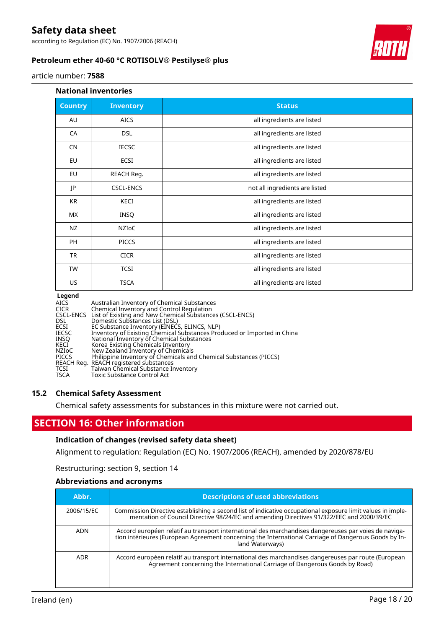according to Regulation (EC) No. 1907/2006 (REACH)



### **Petroleum ether 40-60 °C ROTISOLV® Pestilyse® plus**

article number: **7588**

### **National inventories**

| <b>Country</b> | <b>Inventory</b> | <b>Status</b>                  |
|----------------|------------------|--------------------------------|
| AU             | <b>AICS</b>      | all ingredients are listed     |
| CA             | <b>DSL</b>       | all ingredients are listed     |
| <b>CN</b>      | <b>IECSC</b>     | all ingredients are listed     |
| EU             | ECSI             | all ingredients are listed     |
| EU             | REACH Reg.       | all ingredients are listed     |
| JP             | <b>CSCL-ENCS</b> | not all ingredients are listed |
| KR             | KECI             | all ingredients are listed     |
| МX             | <b>INSQ</b>      | all ingredients are listed     |
| NZ             | NZIOC            | all ingredients are listed     |
| <b>PH</b>      | <b>PICCS</b>     | all ingredients are listed     |
| <b>TR</b>      | <b>CICR</b>      | all ingredients are listed     |
| <b>TW</b>      | <b>TCSI</b>      | all ingredients are listed     |
| US             | <b>TSCA</b>      | all ingredients are listed     |

#### **Legend**

| Australian Inventory of Chemical Substances<br>Chemical Inventory and Control Regulation |
|------------------------------------------------------------------------------------------|
| CSCL-ENCS List of Existing and New Chemical Substances (CSCL-ENCS)                       |
| Domestic Substances List (DSL)                                                           |
| EC Substance Inventory (EINECS, ELINCS, NLP)                                             |
| Inventory of Existing Chemical Substances Produced or Imported in China                  |
| National Inventory of Chemical Substances                                                |
| Korea Existing Chemicals Inventory                                                       |
| New Zealand Inventory of Chemicals                                                       |
| Philippine Inventory of Chemicals and Chemical Substances (PICCS)                        |
| REACH Reg. REACH registered substances                                                   |
| Taiwan Chemical Substance Inventory                                                      |
| Toxic Substance Control Act                                                              |
|                                                                                          |

### **15.2 Chemical Safety Assessment**

Chemical safety assessments for substances in this mixture were not carried out.

# **SECTION 16: Other information**

### **Indication of changes (revised safety data sheet)**

Alignment to regulation: Regulation (EC) No. 1907/2006 (REACH), amended by 2020/878/EU

Restructuring: section 9, section 14

### **Abbreviations and acronyms**

| Abbr.      | <b>Descriptions of used abbreviations</b>                                                                                                                                                                                       |
|------------|---------------------------------------------------------------------------------------------------------------------------------------------------------------------------------------------------------------------------------|
| 2006/15/EC | Commission Directive establishing a second list of indicative occupational exposure limit values in imple-<br>mentation of Council Directive 98/24/EC and amending Directives 91/322/EEC and 2000/39/EC                         |
| <b>ADN</b> | Accord européen relatif au transport international des marchandises dangereuses par voies de naviga-<br>tion intérieures (European Agreement concerning the International Carriage of Dangerous Goods by In-<br>land Waterways) |
| <b>ADR</b> | Accord européen relatif au transport international des marchandises dangereuses par route (European<br>Agreement concerning the International Carriage of Dangerous Goods by Road)                                              |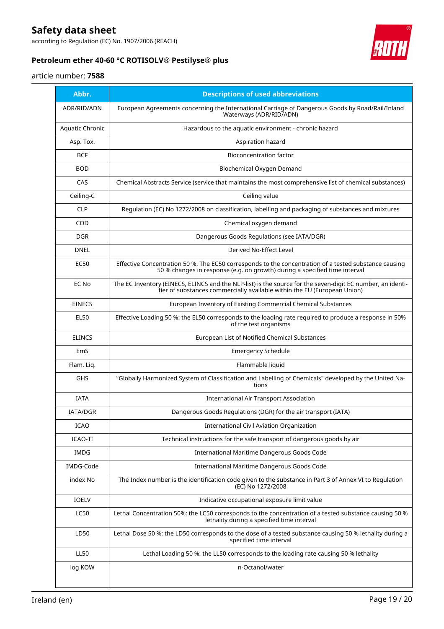according to Regulation (EC) No. 1907/2006 (REACH)



# **Petroleum ether 40-60 °C ROTISOLV® Pestilyse® plus**

### article number: **7588**

| Abbr.           | <b>Descriptions of used abbreviations</b>                                                                                                                                              |
|-----------------|----------------------------------------------------------------------------------------------------------------------------------------------------------------------------------------|
| ADR/RID/ADN     | European Agreements concerning the International Carriage of Dangerous Goods by Road/Rail/Inland<br>Waterways (ADR/RID/ADN)                                                            |
| Aquatic Chronic | Hazardous to the aquatic environment - chronic hazard                                                                                                                                  |
| Asp. Tox.       | Aspiration hazard                                                                                                                                                                      |
| <b>BCF</b>      | <b>Bioconcentration factor</b>                                                                                                                                                         |
| <b>BOD</b>      | Biochemical Oxygen Demand                                                                                                                                                              |
| CAS             | Chemical Abstracts Service (service that maintains the most comprehensive list of chemical substances)                                                                                 |
| Ceiling-C       | Ceiling value                                                                                                                                                                          |
| <b>CLP</b>      | Regulation (EC) No 1272/2008 on classification, labelling and packaging of substances and mixtures                                                                                     |
| COD             | Chemical oxygen demand                                                                                                                                                                 |
| <b>DGR</b>      | Dangerous Goods Regulations (see IATA/DGR)                                                                                                                                             |
| <b>DNEL</b>     | Derived No-Effect Level                                                                                                                                                                |
| <b>EC50</b>     | Effective Concentration 50 %. The EC50 corresponds to the concentration of a tested substance causing<br>50 % changes in response (e.g. on growth) during a specified time interval    |
| EC No           | The EC Inventory (EINECS, ELINCS and the NLP-list) is the source for the seven-digit EC number, an identi-<br>fier of substances commercially available within the EU (European Union) |
| <b>EINECS</b>   | European Inventory of Existing Commercial Chemical Substances                                                                                                                          |
| <b>EL50</b>     | Effective Loading 50 %: the EL50 corresponds to the loading rate required to produce a response in 50%<br>of the test organisms                                                        |
| <b>ELINCS</b>   | European List of Notified Chemical Substances                                                                                                                                          |
| EmS             | <b>Emergency Schedule</b>                                                                                                                                                              |
| Flam. Lig.      | Flammable liquid                                                                                                                                                                       |
| GHS             | "Globally Harmonized System of Classification and Labelling of Chemicals" developed by the United Na-<br>tions                                                                         |
| <b>IATA</b>     | <b>International Air Transport Association</b>                                                                                                                                         |
| <b>IATA/DGR</b> | Dangerous Goods Regulations (DGR) for the air transport (IATA)                                                                                                                         |
| <b>ICAO</b>     | <b>International Civil Aviation Organization</b>                                                                                                                                       |
| ICAO-TI         | Technical instructions for the safe transport of dangerous goods by air                                                                                                                |
| IMDG            | International Maritime Dangerous Goods Code                                                                                                                                            |
| IMDG-Code       | International Maritime Dangerous Goods Code                                                                                                                                            |
| index No        | The Index number is the identification code given to the substance in Part 3 of Annex VI to Regulation<br>(EC) No 1272/2008                                                            |
| <b>IOELV</b>    | Indicative occupational exposure limit value                                                                                                                                           |
| <b>LC50</b>     | Lethal Concentration 50%: the LC50 corresponds to the concentration of a tested substance causing 50 %<br>lethality during a specified time interval                                   |
| LD50            | Lethal Dose 50 %: the LD50 corresponds to the dose of a tested substance causing 50 % lethality during a<br>specified time interval                                                    |
| <b>LL50</b>     | Lethal Loading 50 %: the LL50 corresponds to the loading rate causing 50 % lethality                                                                                                   |
| log KOW         | n-Octanol/water                                                                                                                                                                        |